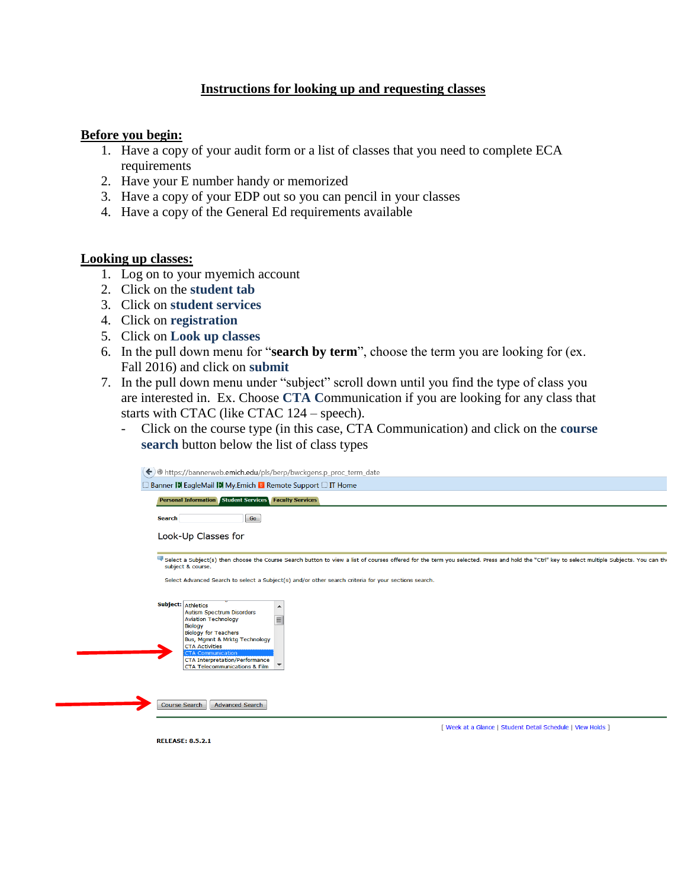# **Instructions for looking up and requesting classes**

## **Before you begin:**

- 1. Have a copy of your audit form or a list of classes that you need to complete ECA requirements
- 2. Have your E number handy or memorized
- 3. Have a copy of your EDP out so you can pencil in your classes
- 4. Have a copy of the General Ed requirements available

## **Looking up classes:**

- 1. Log on to your myemich account
- 2. Click on the **student tab**
- 3. Click on **student services**
- 4. Click on **registration**
- 5. Click on **Look up classes**
- 6. In the pull down menu for "**search by term**", choose the term you are looking for (ex. Fall 2016) and click on **submit**
- 7. In the pull down menu under "subject" scroll down until you find the type of class you are interested in. Ex. Choose **CTA C**ommunication if you are looking for any class that starts with CTAC (like CTAC 124 – speech).
	- Click on the course type (in this case, CTA Communication) and click on the **course search** button below the list of class types

| $\left\langle \bullet\right\rangle$ https://bannerweb.emich.edu/pls/berp/bwckgens.p_proc_term_date                                                                                                                                                                                                                        |
|---------------------------------------------------------------------------------------------------------------------------------------------------------------------------------------------------------------------------------------------------------------------------------------------------------------------------|
| □ Banner DI EagleMail DI My.Emich B Remote Support □ IT Home                                                                                                                                                                                                                                                              |
| <b>Personal Information Student Services Faculty Services</b>                                                                                                                                                                                                                                                             |
| Go<br><b>Search</b>                                                                                                                                                                                                                                                                                                       |
| Look-Up Classes for                                                                                                                                                                                                                                                                                                       |
| select a Subject(s) then choose the Course Search button to view a list of courses offered for the term you selected. Press and hold the "Ctrl" key to select multiple Subjects. You can the<br>subject & course.<br>Select Advanced Search to select a Subject(s) and/or other search criteria for your sections search. |
|                                                                                                                                                                                                                                                                                                                           |
| Subject: Athletics<br>▴<br><b>Autism Spectrum Disorders</b><br>$\equiv$<br><b>Aviation Technology</b><br><b>Biology</b><br><b>Biology for Teachers</b><br>Bus, Mgmnt & Mrktg Technology<br><b>CTA Activities</b><br><b>CTA Communication</b><br><b>CTA Interpretation/Performance</b><br>CTA Telecommunications & Film    |
| <b>Advanced Search</b><br><b>Course Search</b>                                                                                                                                                                                                                                                                            |
| [ Week at a Glance   Student Detail Schedule   View Holds ]<br><b>RELEASE: 8.5.2.1</b>                                                                                                                                                                                                                                    |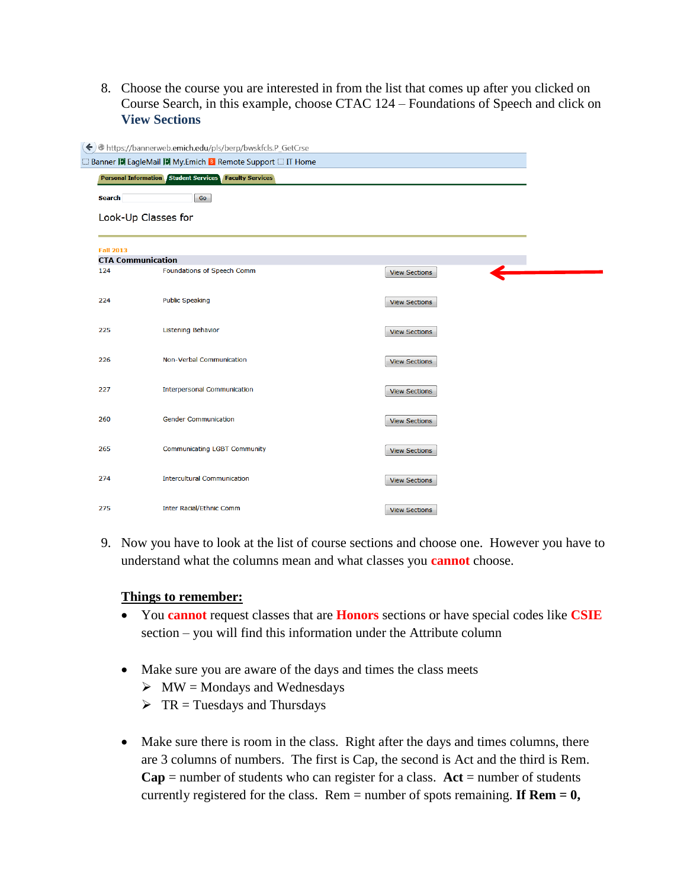8. Choose the course you are interested in from the list that comes up after you clicked on Course Search, in this example, choose CTAC 124 – Foundations of Speech and click on **View Sections**

|                          | https://bannerweb.emich.edu/pls/berp/bwskfcls.P_GetCrse         |                      |  |
|--------------------------|-----------------------------------------------------------------|----------------------|--|
|                          | <b>Banner D EagleMail D My.Emich B Remote Support C IT Home</b> |                      |  |
|                          | <b>Personal Information Student Services Faculty Services</b>   |                      |  |
| <b>Search</b>            | Go                                                              |                      |  |
|                          | Look-Up Classes for                                             |                      |  |
| <b>Fall 2013</b>         |                                                                 |                      |  |
| <b>CTA Communication</b> |                                                                 |                      |  |
| 124                      | Foundations of Speech Comm                                      | <b>View Sections</b> |  |
| 224                      | <b>Public Speaking</b>                                          | <b>View Sections</b> |  |
| 225                      | <b>Listening Behavior</b>                                       | <b>View Sections</b> |  |
| 226                      | <b>Non-Verbal Communication</b>                                 | <b>View Sections</b> |  |
| 227                      | <b>Interpersonal Communication</b>                              | <b>View Sections</b> |  |
| 260                      | <b>Gender Communication</b>                                     | <b>View Sections</b> |  |
| 265                      | <b>Communicating LGBT Community</b>                             | <b>View Sections</b> |  |
| 274                      | <b>Intercultural Communication</b>                              | <b>View Sections</b> |  |
| 275                      | Inter Racial/Ethnic Comm                                        | <b>View Sections</b> |  |

9. Now you have to look at the list of course sections and choose one. However you have to understand what the columns mean and what classes you **cannot** choose.

# **Things to remember:**

- You **cannot** request classes that are **Honors** sections or have special codes like **CSIE**  section – you will find this information under the Attribute column
- Make sure you are aware of the days and times the class meets
	- $\triangleright$  MW = Mondays and Wednesdays
	- $\triangleright$  TR = Tuesdays and Thursdays
- Make sure there is room in the class. Right after the days and times columns, there are 3 columns of numbers. The first is Cap, the second is Act and the third is Rem.  $Cap =$  number of students who can register for a class.  $Act =$  number of students currently registered for the class. Rem = number of spots remaining. **If Rem = 0,**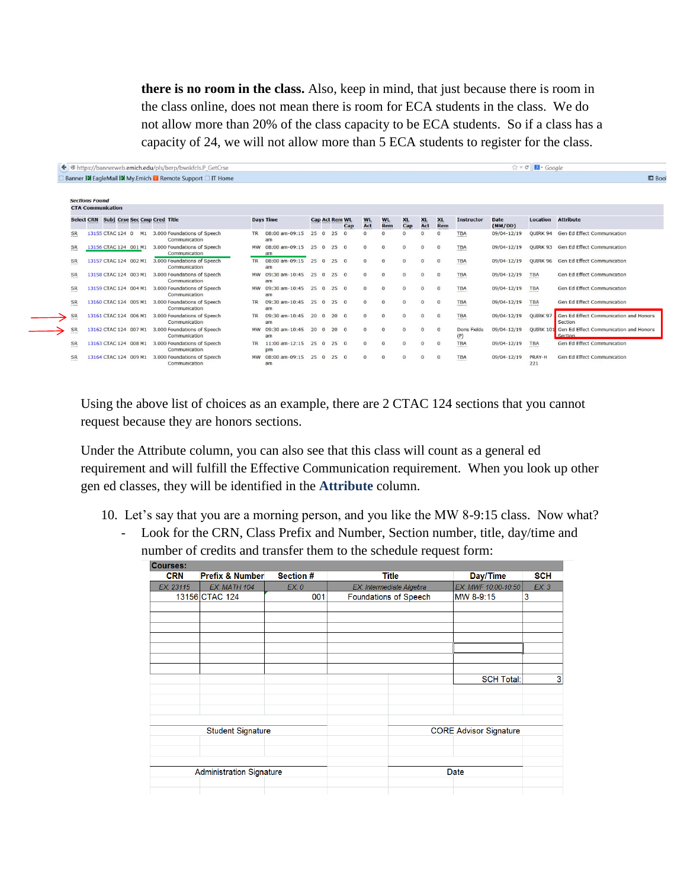**there is no room in the class.** Also, keep in mind, that just because there is room in the class online, does not mean there is room for ECA students in the class. We do not allow more than 20% of the class capacity to be ECA students. So if a class has a capacity of 24, we will not allow more than 5 ECA students to register for the class.

|           |                                         | Banner <b>D</b> EagleMail <b>D</b> My. Emich <b>B</b> Remote Support <b>DIT</b> Home |           |                              |     |                       |          |                  |                  |                  |                  |                       |                     |                        |                 | $B$ Bool                                                    |
|-----------|-----------------------------------------|--------------------------------------------------------------------------------------|-----------|------------------------------|-----|-----------------------|----------|------------------|------------------|------------------|------------------|-----------------------|---------------------|------------------------|-----------------|-------------------------------------------------------------|
|           |                                         |                                                                                      |           |                              |     |                       |          |                  |                  |                  |                  |                       |                     |                        |                 |                                                             |
|           | <b>Sections Found</b>                   |                                                                                      |           |                              |     |                       |          |                  |                  |                  |                  |                       |                     |                        |                 |                                                             |
|           | <b>CTA Communication</b>                |                                                                                      |           |                              |     |                       |          |                  |                  |                  |                  |                       |                     |                        |                 |                                                             |
|           | Select CRN Subj Crse Sec Cmp Cred Title |                                                                                      |           | <b>Days Time</b>             |     | <b>Cap Act Rem WL</b> | Cap      | <b>WL</b><br>Act | <b>WL</b><br>Rem | <b>XL</b><br>Cap | <b>XL</b><br>Act | X <sub>L</sub><br>Rem | <b>Instructor</b>   | <b>Date</b><br>(MM/DD) | <b>Location</b> | <b>Attribute</b>                                            |
| <b>SR</b> | M1<br>13155 CTAC 124 0                  | 3.000 Foundations of Speech<br>Communication                                         | <b>TR</b> | 08:00 am-09:15<br>am         | 250 | 25                    | $\Omega$ | $\Omega$         |                  |                  | $\Omega$         | $\Omega$              | <b>TBA</b>          | 09/04-12/19            | <b>OUIRK 94</b> | Gen Ed Effect Communication                                 |
| <b>SR</b> |                                         | 13156 CTAC 124 001 M1 3.000 Foundations of Speech<br>Communication                   |           | MW 08:00 am-09:15<br>am      | 250 | 250                   |          | $\mathbf{O}$     | $\mathbf{0}$     |                  | $\Omega$         | $\Omega$              | <b>TBA</b>          | 09/04-12/19            |                 | QUIRK 93 Gen Ed Effect Communication                        |
| <b>SR</b> | 13157 CTAC 124 002 M1                   | 3,000 Foundations of Speech<br>Communication                                         |           | TR 08:00 am-09:15 25 0<br>am |     | 250                   |          | $\Omega$         | $\Omega$         | $\Omega$         | $\overline{0}$   | $\Omega$              | <b>TBA</b>          | 09/04-12/19            |                 | OUIRK 96 Gen Ed Effect Communication                        |
| <b>SR</b> | 13158 CTAC 124 003 M1                   | 3.000 Foundations of Speech<br>Communication                                         |           | MW 09:30 am-10:45 25 0<br>am |     | 250                   |          | $^{\circ}$       | $\mathbf{0}$     | $\Omega$         | $\overline{0}$   | $\Omega$              | <b>TBA</b>          | 09/04-12/19            | <b>TBA</b>      | Gen Ed Effect Communication                                 |
| <b>SR</b> | 13159 CTAC 124 004 M1                   | 3,000 Foundations of Speech<br>Communication                                         |           | MW 09:30 am-10:45<br>am      | 250 | 250                   |          | $\mathbf{O}$     | $\mathbf{0}$     | $\Omega$         | $\mathbf{O}$     | $\mathbf{0}$          | <b>TBA</b>          | 09/04-12/19            | <b>TBA</b>      | Gen Ed Effect Communication                                 |
| <b>SR</b> | 13160 CTAC 124 005 M1                   | 3.000 Foundations of Speech<br>Communication                                         | <b>TR</b> | 09:30 am-10:45 25 0<br>am    |     | 250                   |          | $\Omega$         | $\Omega$         | $\Omega$         | $\Omega$         | $\Omega$              | <b>TBA</b>          | 09/04-12/19            | <b>TBA</b>      | Gen Ed Effect Communication                                 |
| SR        | 13161 CTAC 124 006 M1                   | 3,000 Foundations of Speech<br>Communication                                         | <b>TR</b> | 09:30 am-10:45 20 0<br>am    |     | 200                   |          | $\Omega$         | $\mathbf{0}$     | $\Omega$         | $\overline{0}$   | $\mathbf{0}$          | <b>TBA</b>          | 09/04-12/19            | QUIRK 97        | Gen Ed Effect Communication and Honors<br>Section           |
| SR        | 13162 CTAC 124 007 M1                   | 3.000 Foundations of Speech<br>Communication                                         |           | MW 09:30 am-10:45<br>am      | 200 | $20 \t 0$             |          | $\Omega$         | $\Omega$         | $\Omega$         | $\Omega$         | $\Omega$              | Doris Fields<br>(P) | 09/04-12/19            |                 | OUIRK 101 Gen Ed Effect Communication and Honors<br>Section |
| <b>SR</b> | 13163 CTAC 124 008 M1                   | 3.000 Foundations of Speech<br>Communication                                         | <b>TR</b> | $11:00$ am- $12:15$<br>pm    | 250 | 250                   |          | $\Omega$         | $\Omega$         | $\Omega$         | $\mathbf{O}$     | $\Omega$              | <b>TBA</b>          | 09/04-12/19            | <b>TBA</b>      | Gen Ed Effect Communication                                 |
| <b>SR</b> |                                         | 13164 CTAC 124 009 M1 3.000 Foundations of Speech<br>Communication                   |           | MW 08:00 am-09:15<br>am      | 250 | 250                   |          | $\Omega$         | $\Omega$         |                  | $\Omega$         | $\Omega$              | <b>TBA</b>          | 09/04-12/19            | PRAY-H<br>221   | Gen Ed Effect Communication                                 |

Using the above list of choices as an example, there are 2 CTAC 124 sections that you cannot request because they are honors sections.

Under the Attribute column, you can also see that this class will count as a general ed requirement and will fulfill the Effective Communication requirement. When you look up other gen ed classes, they will be identified in the **Attribute** column.

- 10. Let's say that you are a morning person, and you like the MW 8-9:15 class. Now what?
	- Look for the CRN, Class Prefix and Number, Section number, title, day/time and number of credits and transfer them to the schedule request form:

| <b>Courses:</b> |                                 |           |                              |                               |            |
|-----------------|---------------------------------|-----------|------------------------------|-------------------------------|------------|
| <b>CRN</b>      | <b>Prefix &amp; Number</b>      | Section # | <b>Title</b>                 | Day/Time                      | <b>SCH</b> |
| EX: 23115       | EX: MATH 104                    | EX:0      | EX: Intermediate Algebra     | EX: MWF 10:00-10:50           | EX:3       |
|                 | 13156 CTAC 124                  | 001       | <b>Foundations of Speech</b> | MW 8-9:15                     | 3          |
|                 |                                 |           |                              |                               |            |
|                 |                                 |           |                              |                               |            |
|                 |                                 |           |                              |                               |            |
|                 |                                 |           |                              |                               |            |
|                 |                                 |           |                              |                               |            |
|                 |                                 |           |                              |                               |            |
|                 |                                 |           |                              |                               |            |
|                 |                                 |           |                              | <b>SCH Total:</b>             | 3          |
|                 |                                 |           |                              |                               |            |
|                 |                                 |           |                              |                               |            |
|                 |                                 |           |                              |                               |            |
|                 |                                 |           |                              |                               |            |
|                 | <b>Student Signature</b>        |           |                              | <b>CORE Advisor Signature</b> |            |
|                 |                                 |           |                              |                               |            |
|                 |                                 |           |                              |                               |            |
|                 | <b>Administration Signature</b> |           |                              | Date                          |            |
|                 |                                 |           |                              |                               |            |
|                 |                                 |           |                              |                               |            |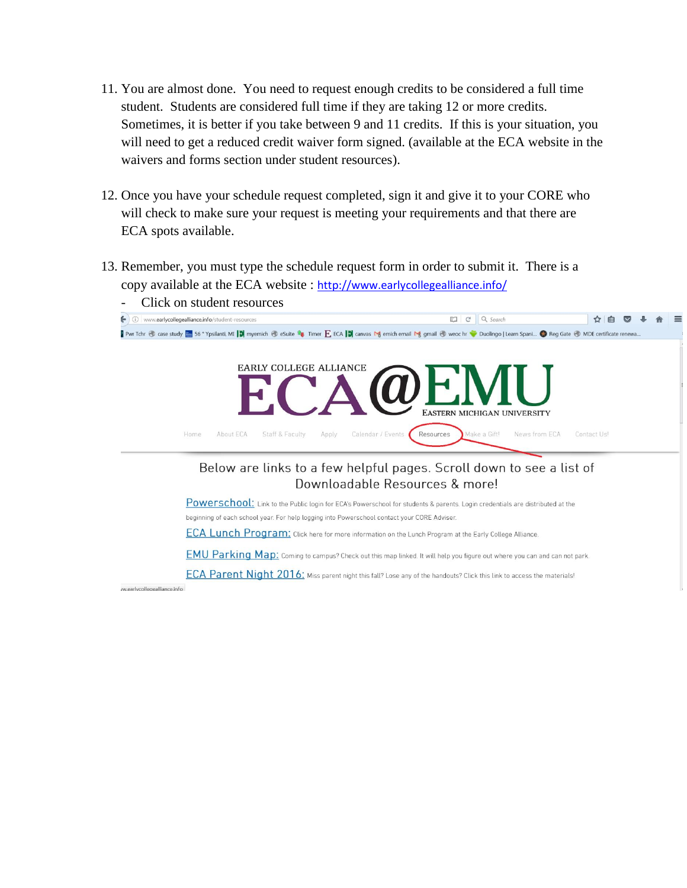- 11. You are almost done. You need to request enough credits to be considered a full time student. Students are considered full time if they are taking 12 or more credits. Sometimes, it is better if you take between 9 and 11 credits. If this is your situation, you will need to get a reduced credit waiver form signed. (available at the ECA website in the waivers and forms section under student resources).
- 12. Once you have your schedule request completed, sign it and give it to your CORE who will check to make sure your request is meeting your requirements and that there are ECA spots available.
- 13. Remember, you must type the schedule request form in order to submit it. There is a copy available at the ECA website : <http://www.earlycollegealliance.info/>



ECA Parent Night 2016: Miss parent night this fall? Lose any of the handouts? Click this link to access the materials!

w.earlycollegealliance.info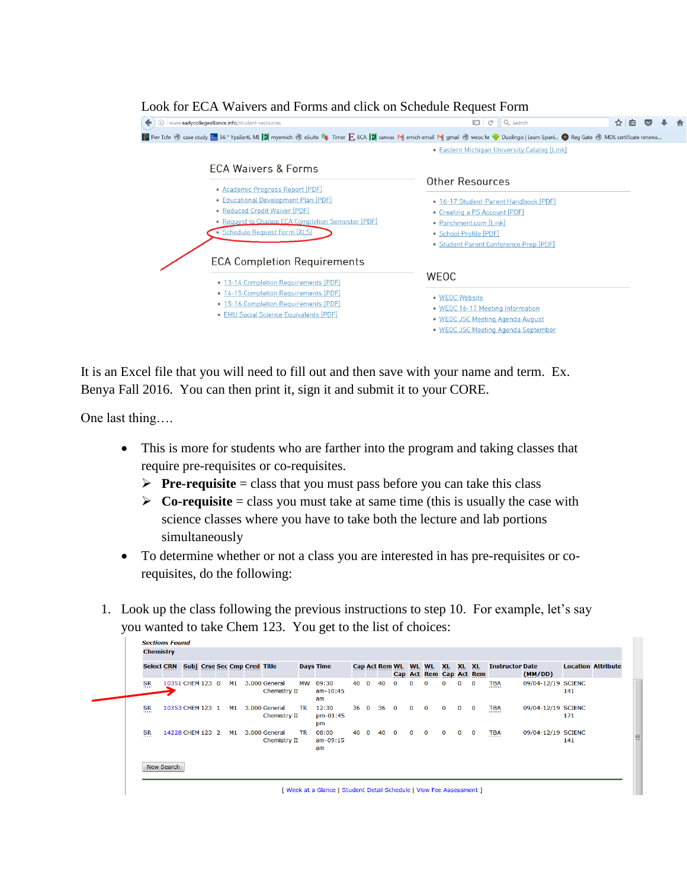

### Look for ECA Waivers and Forms and click on Schedule Request Form

It is an Excel file that you will need to fill out and then save with your name and term. Ex. Benya Fall 2016. You can then print it, sign it and submit it to your CORE.

One last thing….

**Coctions Found** 

- This is more for students who are farther into the program and taking classes that require pre-requisites or co-requisites.
	- **Pre-requisite** = class that you must pass before you can take this class
	- $\triangleright$  **Co-requisite** = class you must take at same time (this is usually the case with science classes where you have to take both the lecture and lab portions simultaneously
- To determine whether or not a class you are interested in has pre-requisites or corequisites, do the following:
- 1. Look up the class following the previous instructions to step 10. For example, let's say you wanted to take Chem 123. You get to the list of choices:

| <b>Select CRN</b>     |                  |  |    | <b>Subj Crse Sec Cmp Cred Title</b> |                               |           | <b>Days Time</b>          |              |              |             |              |              | Cap Act Rem WL WL WL<br>Cap Act Rem Cap Act Rem | XL.         | XL XL        |             | <b>Instructor Date</b> | (MM/DD)            | <b>Location Attribute</b> |  |
|-----------------------|------------------|--|----|-------------------------------------|-------------------------------|-----------|---------------------------|--------------|--------------|-------------|--------------|--------------|-------------------------------------------------|-------------|--------------|-------------|------------------------|--------------------|---------------------------|--|
| <b>SR</b>             | 10351 CHEM 123 0 |  | M1 |                                     | 3.000 General<br>Chemistry II | МW        | 09:30<br>$am-10:45$<br>am | 40           | $\mathbf{O}$ | 40          | $\mathbf{O}$ | 0            | $\mathbf{O}$                                    | 0           | $\mathbf{O}$ | 0           | TBA                    | 09/04-12/19 SCIENC | 141                       |  |
| <b>SR</b><br>-------- | 10353 CHEM 123 1 |  | M1 |                                     | 3.000 General<br>Chemistry II | <b>TR</b> | 12:30<br>$pm-01:45$<br>pm | $36 \quad 0$ |              | $36\quad 0$ |              | $\Omega$     | $\Omega$                                        | $\Omega$    | $\mathbf{0}$ | $\Omega$    | <b>TBA</b>             | 09/04-12/19 SCIENC | 171                       |  |
| <b>SR</b>             | 14228 CHEM 123 2 |  | M1 |                                     | 3.000 General<br>Chemistry II | <b>TR</b> | 08:00<br>$am-09:15$<br>am | 40 0         |              | 40          | $\mathbf{0}$ | $\mathbf{0}$ | $\mathbf{0}$                                    | $\mathbf 0$ | $\mathbf{0}$ | $\mathbf 0$ | <b>TBA</b>             | 09/04-12/19 SCIENC | 141                       |  |

[ Week at a Glance | Student Detail Schedule | View Fee Assessment ]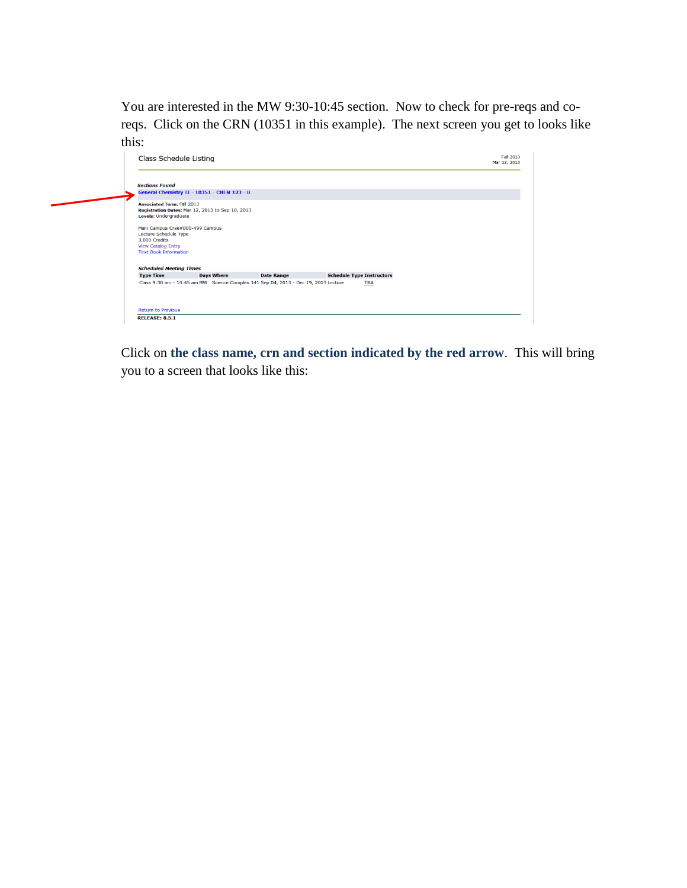You are interested in the MW 9:30-10:45 section. Now to check for pre-reqs and coreqs. Click on the CRN (10351 in this example). The next screen you get to looks like this:



Click on **the class name, crn and section indicated by the red arrow**. This will bring you to a screen that looks like this: